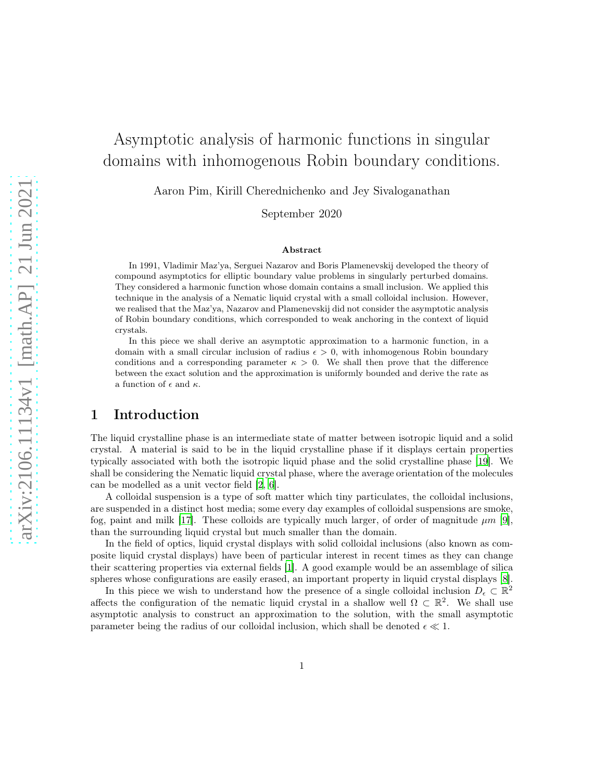# Asymptotic analysis of harmonic functions in singular domains with inhomogenous Robin boundary conditions.

Aaron Pim, Kirill Cherednichenko and Jey Sivaloganathan

September 2020

#### Abstract

In 1991, Vladimir Maz'ya, Serguei Nazarov and Boris Plamenevskij developed the theory of compound asymptotics for elliptic boundary value problems in singularly perturbed domains. They considered a harmonic function whose domain contains a small inclusion. We applied this technique in the analysis of a Nematic liquid crystal with a small colloidal inclusion. However, we realised that the Maz'ya, Nazarov and Plamenevskij did not consider the asymptotic analysis of Robin boundary conditions, which corresponded to weak anchoring in the context of liquid crystals.

In this piece we shall derive an asymptotic approximation to a harmonic function, in a domain with a small circular inclusion of radius  $\epsilon > 0$ , with inhomogenous Robin boundary conditions and a corresponding parameter  $\kappa > 0$ . We shall then prove that the difference between the exact solution and the approximation is uniformly bounded and derive the rate as a function of  $\epsilon$  and  $\kappa$ .

# 1 Introduction

The liquid crystalline phase is an intermediate state of matter between isotropic liquid and a solid crystal. A material is said to be in the liquid crystalline phase if it displays certain properties typically associated with both the isotropic liquid phase and the solid crystalline phase [\[19\]](#page-16-0). We shall be considering the Nematic liquid crystal phase, where the average orientation of the molecules can be modelled as a unit vector field [\[2,](#page-15-0) [6\]](#page-15-1).

A colloidal suspension is a type of soft matter which tiny particulates, the colloidal inclusions, are suspended in a distinct host media; some every day examples of colloidal suspensions are smoke, fog, paint and milk [\[17\]](#page-16-1). These colloids are typically much larger, of order of magnitude  $\mu m$  [\[9\]](#page-15-2), than the surrounding liquid crystal but much smaller than the domain.

In the field of optics, liquid crystal displays with solid colloidal inclusions (also known as composite liquid crystal displays) have been of particular interest in recent times as they can change their scattering properties via external fields [\[1](#page-15-3)]. A good example would be an assemblage of silica spheres whose configurations are easily erased, an important property in liquid crystal displays [\[8\]](#page-15-4).

In this piece we wish to understand how the presence of a single colloidal inclusion  $D_{\epsilon} \subset \mathbb{R}^2$ affects the configuration of the nematic liquid crystal in a shallow well  $\Omega \subset \mathbb{R}^2$ . We shall use asymptotic analysis to construct an approximation to the solution, with the small asymptotic parameter being the radius of our colloidal inclusion, which shall be denoted  $\epsilon \ll 1$ .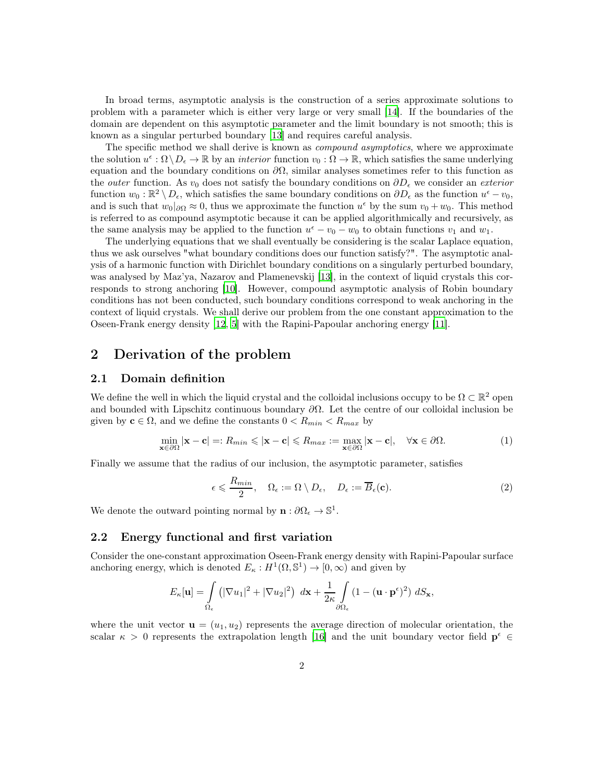In broad terms, asymptotic analysis is the construction of a series approximate solutions to problem with a parameter which is either very large or very small [\[14\]](#page-16-2). If the boundaries of the domain are dependent on this asymptotic parameter and the limit boundary is not smooth; this is known as a singular perturbed boundary [\[13\]](#page-16-3) and requires careful analysis.

The specific method we shall derive is known as *compound asymptotics*, where we approximate the solution  $u^{\epsilon} : \Omega \setminus D_{\epsilon} \to \mathbb{R}$  by an *interior* function  $v_0 : \Omega \to \mathbb{R}$ , which satisfies the same underlying equation and the boundary conditions on  $\partial\Omega$ , similar analyses sometimes refer to this function as the *outer* function. As  $v_0$  does not satisfy the boundary conditions on  $\partial D_{\epsilon}$  we consider an *exterior* function  $w_0 : \mathbb{R}^2 \setminus D_\epsilon$ , which satisfies the same boundary conditions on  $\partial D_\epsilon$  as the function  $u^\epsilon - v_0$ , and is such that  $w_0|_{\partial\Omega} \approx 0$ , thus we approximate the function  $u^{\epsilon}$  by the sum  $v_0 + w_0$ . This method is referred to as compound asymptotic because it can be applied algorithmically and recursively, as the same analysis may be applied to the function  $u^{\epsilon} - v_0 - w_0$  to obtain functions  $v_1$  and  $w_1$ .

The underlying equations that we shall eventually be considering is the scalar Laplace equation, thus we ask ourselves "what boundary conditions does our function satisfy?". The asymptotic analysis of a harmonic function with Dirichlet boundary conditions on a singularly perturbed boundary, was analysed by Maz'ya, Nazarov and Plamenevskij [\[13](#page-16-3)], in the context of liquid crystals this corresponds to strong anchoring [\[10](#page-16-4)]. However, compound asymptotic analysis of Robin boundary conditions has not been conducted, such boundary conditions correspond to weak anchoring in the context of liquid crystals. We shall derive our problem from the one constant approximation to the Oseen-Frank energy density [\[12,](#page-16-5) [5\]](#page-15-5) with the Rapini-Papoular anchoring energy [\[11](#page-16-6)].

# 2 Derivation of the problem

## 2.1 Domain definition

We define the well in which the liquid crystal and the colloidal inclusions occupy to be  $\Omega \subset \mathbb{R}^2$  open and bounded with Lipschitz continuous boundary  $\partial\Omega$ . Let the centre of our colloidal inclusion be given by  $c \in \Omega$ , and we define the constants  $0 < R_{min} < R_{max}$  by

<span id="page-1-1"></span>
$$
\min_{\mathbf{x} \in \partial \Omega} |\mathbf{x} - \mathbf{c}| =: R_{min} \le |\mathbf{x} - \mathbf{c}| \le R_{max} := \max_{\mathbf{x} \in \partial \Omega} |\mathbf{x} - \mathbf{c}|, \quad \forall \mathbf{x} \in \partial \Omega.
$$
 (1)

Finally we assume that the radius of our inclusion, the asymptotic parameter, satisfies

<span id="page-1-0"></span>
$$
\epsilon \leqslant \frac{R_{min}}{2}, \quad \Omega_{\epsilon} := \Omega \setminus D_{\epsilon}, \quad D_{\epsilon} := \overline{B}_{\epsilon}(\mathbf{c}). \tag{2}
$$

We denote the outward pointing normal by  $\mathbf{n} : \partial \Omega_{\epsilon} \to \mathbb{S}^1$ .

## 2.2 Energy functional and first variation

Consider the one-constant approximation Oseen-Frank energy density with Rapini-Papoular surface anchoring energy, which is denoted  $E_{\kappa}: H^{1}(\Omega, \mathbb{S}^{1}) \to [0, \infty)$  and given by

$$
E_{\kappa}[\mathbf{u}] = \int_{\Omega_{\epsilon}} \left( |\nabla u_1|^2 + |\nabla u_2|^2 \right) \, d\mathbf{x} + \frac{1}{2\kappa} \int_{\partial\Omega_{\epsilon}} \left( 1 - (\mathbf{u} \cdot \mathbf{p}^{\epsilon})^2 \right) \, dS_{\mathbf{x}},
$$

where the unit vector  $\mathbf{u} = (u_1, u_2)$  represents the average direction of molecular orientation, the scalar  $\kappa > 0$  represents the extrapolation length [\[16\]](#page-16-7) and the unit boundary vector field  $p^{\epsilon} \in$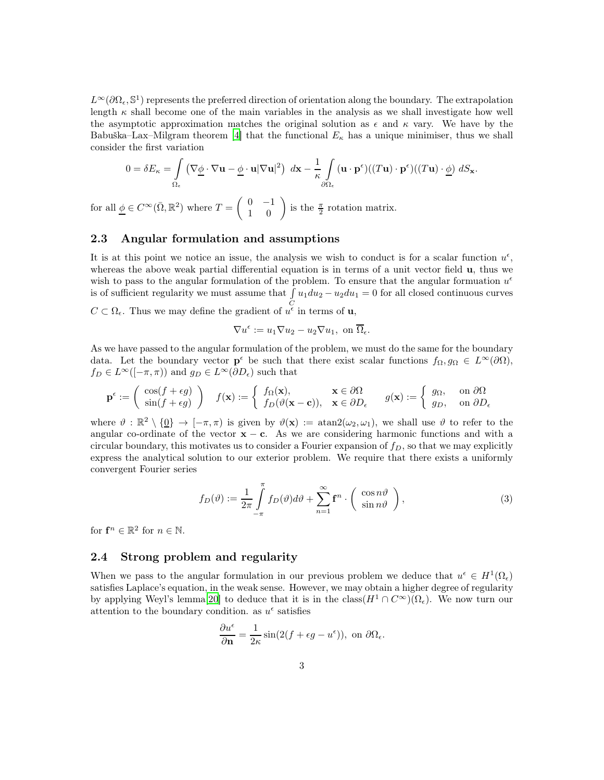$L^{\infty}(\partial\Omega_{\epsilon}, \mathbb{S}^{1})$  represents the preferred direction of orientation along the boundary. The extrapolation length  $\kappa$  shall become one of the main variables in the analysis as we shall investigate how well the asymptotic approximation matches the original solution as  $\epsilon$  and  $\kappa$  vary. We have by the Babuška–Lax–Milgram theorem [\[4\]](#page-15-6) that the functional  $E_{\kappa}$  has a unique minimiser, thus we shall consider the first variation

$$
0 = \delta E_{\kappa} = \int_{\Omega_{\epsilon}} (\nabla \underline{\phi} \cdot \nabla \mathbf{u} - \underline{\phi} \cdot \mathbf{u} |\nabla \mathbf{u}|^2) d\mathbf{x} - \frac{1}{\kappa} \int_{\partial \Omega_{\epsilon}} (\mathbf{u} \cdot \mathbf{p}^{\epsilon}) ((T\mathbf{u}) \cdot \mathbf{p}^{\epsilon}) ((T\mathbf{u}) \cdot \underline{\phi}) dS_{\mathbf{x}}.
$$

for all  $\underline{\phi} \in C^{\infty}(\overline{\Omega}, \mathbb{R}^2)$  where  $T = \begin{pmatrix} 0 & -1 \\ 1 & 0 \end{pmatrix}$  is the  $\frac{\pi}{2}$  rotation matrix.

## 2.3 Angular formulation and assumptions

It is at this point we notice an issue, the analysis we wish to conduct is for a scalar function  $u^{\epsilon}$ , whereas the above weak partial differential equation is in terms of a unit vector field  $\bf{u}$ , thus we wish to pass to the angular formulation of the problem. To ensure that the angular formuation  $u^{\epsilon}$ is of sufficient regularity we must assume that  $\int u_1 du_2 - u_2 du_1 = 0$  for all closed continuous curves

 $C \subset \Omega_{\epsilon}$ . Thus we may define the gradient of  $u^{\epsilon}$  in terms of **u**,

$$
\nabla u^{\epsilon} := u_1 \nabla u_2 - u_2 \nabla u_1, \text{ on } \overline{\Omega}_{\epsilon}.
$$

As we have passed to the angular formulation of the problem, we must do the same for the boundary data. Let the boundary vector  $\mathbf{p}^{\epsilon}$  be such that there exist scalar functions  $f_{\Omega}, g_{\Omega} \in L^{\infty}(\partial \Omega)$ ,  $f_D \in L^{\infty}([-\pi,\pi))$  and  $g_D \in L^{\infty}(\partial D_{\epsilon})$  such that

$$
\mathbf{p}^{\epsilon} := \begin{pmatrix} \cos(f + \epsilon g) \\ \sin(f + \epsilon g) \end{pmatrix} \quad f(\mathbf{x}) := \begin{cases} f_{\Omega}(\mathbf{x}), & \mathbf{x} \in \partial \Omega \\ f_D(\vartheta(\mathbf{x} - \mathbf{c})), & \mathbf{x} \in \partial D_{\epsilon} \end{cases} \quad g(\mathbf{x}) := \begin{cases} g_{\Omega}, & \text{on } \partial \Omega \\ g_D, & \text{on } \partial D_{\epsilon} \end{cases}
$$

where  $\vartheta : \mathbb{R}^2 \setminus \{0\} \to [-\pi, \pi)$  is given by  $\vartheta(\mathbf{x}) := \text{atan2}(\omega_2, \omega_1)$ , we shall use  $\vartheta$  to refer to the angular co-ordinate of the vector  $x - c$ . As we are considering harmonic functions and with a circular boundary, this motivates us to consider a Fourier expansion of  $f<sub>D</sub>$ , so that we may explicitly express the analytical solution to our exterior problem. We require that there exists a uniformly convergent Fourier series

<span id="page-2-0"></span>
$$
f_D(\vartheta) := \frac{1}{2\pi} \int_{-\pi}^{\pi} f_D(\vartheta) d\vartheta + \sum_{n=1}^{\infty} \mathbf{f}^n \cdot \left( \begin{array}{c} \cos n\vartheta \\ \sin n\vartheta \end{array} \right),\tag{3}
$$

for  $\mathbf{f}^n \in \mathbb{R}^2$  for  $n \in \mathbb{N}$ .

## 2.4 Strong problem and regularity

When we pass to the angular formulation in our previous problem we deduce that  $u^{\epsilon} \in H^{1}(\Omega_{\epsilon})$ satisfies Laplace's equation, in the weak sense. However, we may obtain a higher degree of regularity by applying Weyl's lemma[\[20](#page-16-8)] to deduce that it is in the class( $H^1 \cap C^{\infty}(\Omega_{\epsilon})$ . We now turn our attention to the boundary condition. as  $u^{\epsilon}$  satisfies

$$
\frac{\partial u^{\epsilon}}{\partial \mathbf{n}} = \frac{1}{2\kappa} \sin(2(f + \epsilon g - u^{\epsilon})), \text{ on } \partial \Omega_{\epsilon}.
$$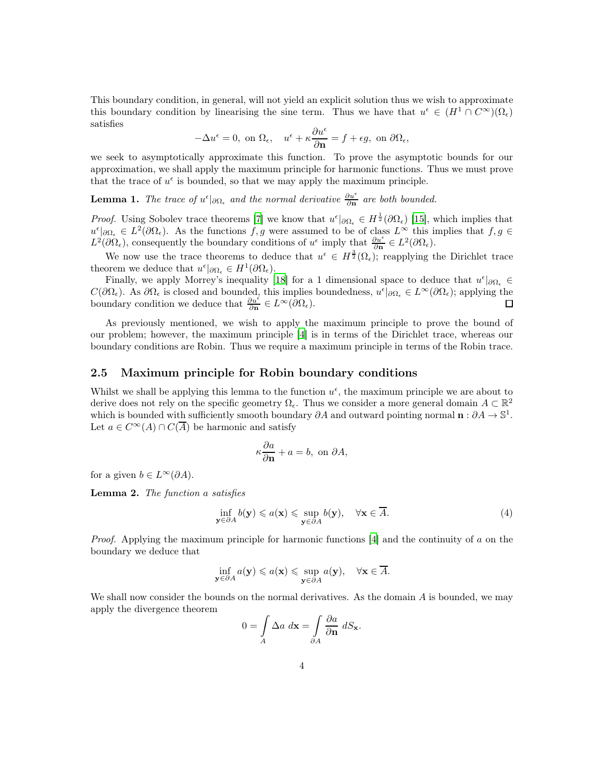This boundary condition, in general, will not yield an explicit solution thus we wish to approximate this boundary condition by linearising the sine term. Thus we have that  $u^{\epsilon} \in (H^1 \cap C^{\infty})(\Omega_{\epsilon})$ satisfies

$$
-\Delta u^{\epsilon}=0, \text{ on } \Omega_{\epsilon}, \quad u^{\epsilon}+\kappa\frac{\partial u^{\epsilon}}{\partial \mathbf{n}}=f+\epsilon g, \text{ on } \partial \Omega_{\epsilon},
$$

we seek to asymptotically approximate this function. To prove the asymptotic bounds for our approximation, we shall apply the maximum principle for harmonic functions. Thus we must prove that the trace of  $u^{\epsilon}$  is bounded, so that we may apply the maximum principle.

**Lemma 1.** The trace of  $u^{\epsilon}|_{\partial\Omega_{\epsilon}}$  and the normal derivative  $\frac{\partial u^{\epsilon}}{\partial n}$  are both bounded.

*Proof.* Using Sobolev trace theorems [\[7\]](#page-15-7) we know that  $u^{\epsilon}|_{\partial\Omega_{\epsilon}} \in H^{\frac{1}{2}}(\partial\Omega_{\epsilon})$  [\[15\]](#page-16-9), which implies that  $u^{\epsilon}|\partial\Omega_{\epsilon} \in L^{2}(\partial\Omega_{\epsilon})$ . As the functions f, g were assumed to be of class  $L^{\infty}$  this implies that  $f, g \in$  $L^2(\partial\Omega_{\epsilon})$ , consequently the boundary conditions of  $u^{\epsilon}$  imply that  $\frac{\partial u^{\epsilon}}{\partial n} \in L^2(\partial\Omega_{\epsilon})$ .

We now use the trace theorems to deduce that  $u^{\epsilon} \in H^{\frac{3}{2}}(\Omega_{\epsilon})$ ; reapplying the Dirichlet trace theorem we deduce that  $u^{\epsilon}|_{\partial\Omega_{\epsilon}} \in H^1(\partial\Omega_{\epsilon}).$ 

Finally, we apply Morrey's inequality [\[18](#page-16-10)] for a 1 dimensional space to deduce that  $u^{\epsilon}|_{\partial\Omega_{\epsilon}} \in$  $C(\partial\Omega_{\epsilon})$ . As  $\partial\Omega_{\epsilon}$  is closed and bounded, this implies boundedness,  $u^{\epsilon}|_{\partial\Omega_{\epsilon}} \in L^{\infty}(\partial\Omega_{\epsilon})$ ; applying the boundary condition we deduce that  $\frac{\partial u^{\epsilon}}{\partial \mathbf{n}} \in L^{\infty}(\partial \Omega_{\epsilon}).$ 

As previously mentioned, we wish to apply the maximum principle to prove the bound of our problem; however, the maximum principle [\[4\]](#page-15-6) is in terms of the Dirichlet trace, whereas our boundary conditions are Robin. Thus we require a maximum principle in terms of the Robin trace.

#### <span id="page-3-1"></span>2.5 Maximum principle for Robin boundary conditions

Whilst we shall be applying this lemma to the function  $u^{\epsilon}$ , the maximum principle we are about to derive does not rely on the specific geometry  $\Omega_{\epsilon}$ . Thus we consider a more general domain  $A \subset \mathbb{R}^2$ which is bounded with sufficiently smooth boundary  $\partial A$  and outward pointing normal  $\mathbf{n} : \partial A \to \mathbb{S}^1$ . Let  $a \in C^{\infty}(A) \cap C(\overline{A})$  be harmonic and satisfy

$$
\kappa \frac{\partial a}{\partial \mathbf{n}} + a = b, \text{ on } \partial A,
$$

for a given  $b \in L^{\infty}(\partial A)$ .

Lemma 2. The function a satisfies

<span id="page-3-0"></span>
$$
\inf_{\mathbf{y}\in\partial A} b(\mathbf{y}) \leqslant a(\mathbf{x}) \leqslant \sup_{\mathbf{y}\in\partial A} b(\mathbf{y}), \quad \forall \mathbf{x}\in\overline{A}.\tag{4}
$$

*Proof.* Applying the maximum principle for harmonic functions  $|4|$  and the continuity of a on the boundary we deduce that

$$
\inf_{\mathbf{y}\in\partial A} a(\mathbf{y}) \leq a(\mathbf{x}) \leq \sup_{\mathbf{y}\in\partial A} a(\mathbf{y}), \quad \forall \mathbf{x}\in\overline{A}.
$$

We shall now consider the bounds on the normal derivatives. As the domain  $A$  is bounded, we may apply the divergence theorem

$$
0 = \int_{A} \Delta a \, d\mathbf{x} = \int_{\partial A} \frac{\partial a}{\partial \mathbf{n}} \, dS_{\mathbf{x}}.
$$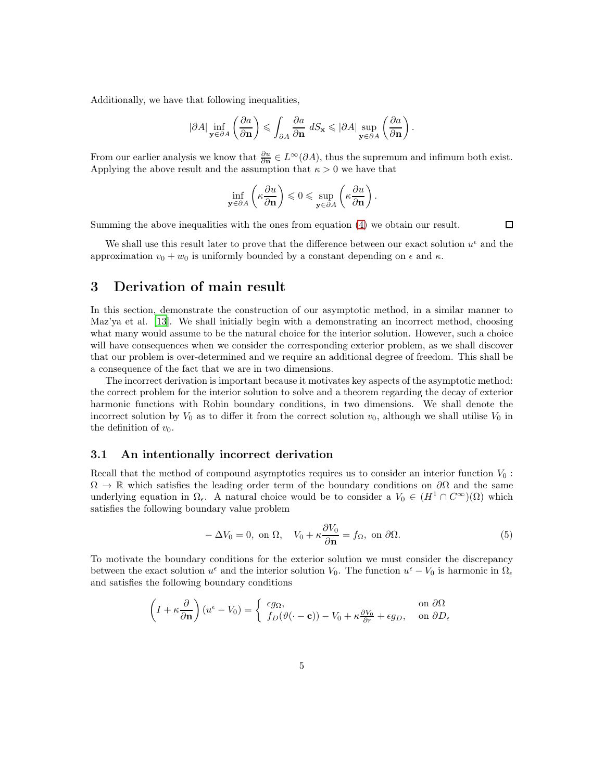Additionally, we have that following inequalities,

$$
|\partial A| \inf_{\mathbf{y}\in \partial A} \left(\frac{\partial a}{\partial \mathbf{n}}\right) \leqslant \int_{\partial A} \frac{\partial a}{\partial \mathbf{n}} \, dS_{\mathbf{x}} \leqslant |\partial A| \sup_{\mathbf{y}\in \partial A} \left(\frac{\partial a}{\partial \mathbf{n}}\right)
$$

.

 $\Box$ 

From our earlier analysis we know that  $\frac{\partial u}{\partial n} \in L^{\infty}(\partial A)$ , thus the supremum and infimum both exist. Applying the above result and the assumption that  $\kappa > 0$  we have that

$$
\inf_{\mathbf{y}\in\partial A}\left(\kappa\frac{\partial u}{\partial \mathbf{n}}\right)\leqslant 0\leqslant \sup_{\mathbf{y}\in\partial A}\left(\kappa\frac{\partial u}{\partial \mathbf{n}}\right).
$$

Summing the above inequalities with the ones from equation [\(4\)](#page-3-0) we obtain our result.

We shall use this result later to prove that the difference between our exact solution  $u^{\epsilon}$  and the approximation  $v_0 + w_0$  is uniformly bounded by a constant depending on  $\epsilon$  and  $\kappa$ .

# 3 Derivation of main result

In this section, demonstrate the construction of our asymptotic method, in a similar manner to Maz'ya et al. [\[13\]](#page-16-3). We shall initially begin with a demonstrating an incorrect method, choosing what many would assume to be the natural choice for the interior solution. However, such a choice will have consequences when we consider the corresponding exterior problem, as we shall discover that our problem is over-determined and we require an additional degree of freedom. This shall be a consequence of the fact that we are in two dimensions.

The incorrect derivation is important because it motivates key aspects of the asymptotic method: the correct problem for the interior solution to solve and a theorem regarding the decay of exterior harmonic functions with Robin boundary conditions, in two dimensions. We shall denote the incorrect solution by  $V_0$  as to differ it from the correct solution  $v_0$ , although we shall utilise  $V_0$  in the definition of  $v_0$ .

## 3.1 An intentionally incorrect derivation

Recall that the method of compound asymptotics requires us to consider an interior function  $V_0$ :  $\Omega \to \mathbb{R}$  which satisfies the leading order term of the boundary conditions on  $\partial\Omega$  and the same underlying equation in  $\Omega_{\epsilon}$ . A natural choice would be to consider a  $V_0 \in (H^1 \cap C^{\infty})(\Omega)$  which satisfies the following boundary value problem

<span id="page-4-0"></span>
$$
-\Delta V_0 = 0, \text{ on } \Omega, \quad V_0 + \kappa \frac{\partial V_0}{\partial \mathbf{n}} = f_\Omega, \text{ on } \partial \Omega.
$$
 (5)

To motivate the boundary conditions for the exterior solution we must consider the discrepancy between the exact solution  $u^{\epsilon}$  and the interior solution  $V_0$ . The function  $u^{\epsilon} - V_0$  is harmonic in  $\Omega_{\epsilon}$ and satisfies the following boundary conditions

$$
\left(I + \kappa \frac{\partial}{\partial \mathbf{n}}\right)(u^{\epsilon} - V_0) = \begin{cases} \epsilon g_{\Omega}, & \text{on } \partial \Omega \\ f_D(\vartheta(\cdot - \mathbf{c})) - V_0 + \kappa \frac{\partial V_0}{\partial r} + \epsilon g_D, & \text{on } \partial D_{\epsilon} \end{cases}
$$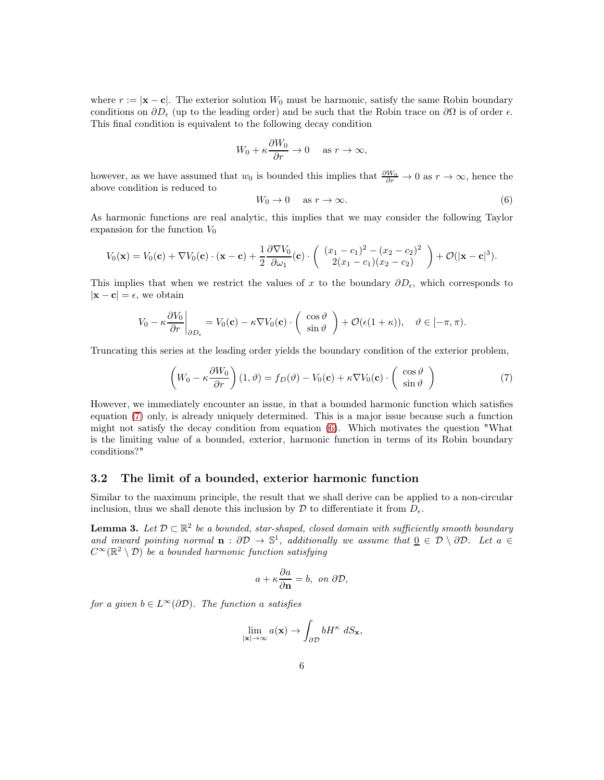where  $r := |\mathbf{x} - \mathbf{c}|$ . The exterior solution  $W_0$  must be harmonic, satisfy the same Robin boundary conditions on  $\partial D_{\epsilon}$  (up to the leading order) and be such that the Robin trace on  $\partial \Omega$  is of order  $\epsilon$ . This final condition is equivalent to the following decay condition

$$
W_0 + \kappa \frac{\partial W_0}{\partial r} \to 0 \quad \text{ as } r \to \infty,
$$

however, as we have assumed that  $w_0$  is bounded this implies that  $\frac{\partial W_0}{\partial r} \to 0$  as  $r \to \infty$ , hence the above condition is reduced to

<span id="page-5-1"></span>
$$
W_0 \to 0 \quad \text{as } r \to \infty. \tag{6}
$$

As harmonic functions are real analytic, this implies that we may consider the following Taylor expansion for the function  $V_0$ 

$$
V_0(\mathbf{x})=V_0(\mathbf{c})+\nabla V_0(\mathbf{c})\cdot(\mathbf{x}-\mathbf{c})+\frac{1}{2}\frac{\partial \nabla V_0}{\partial \omega_1}(\mathbf{c})\cdot\left(\begin{array}{c} (x_1-c_1)^2-(x_2-c_2)^2\\2(x_1-c_1)(x_2-c_2)\end{array}\right)+\mathcal{O}(|\mathbf{x}-\mathbf{c}|^3).
$$

This implies that when we restrict the values of x to the boundary  $\partial D_{\epsilon}$ , which corresponds to  $|\mathbf{x} - \mathbf{c}| = \epsilon$ , we obtain

$$
V_0 - \kappa \frac{\partial V_0}{\partial r}\bigg|_{\partial D_{\epsilon}} = V_0(\mathbf{c}) - \kappa \nabla V_0(\mathbf{c}) \cdot \left(\begin{array}{c} \cos \vartheta \\ \sin \vartheta \end{array}\right) + \mathcal{O}(\epsilon (1+\kappa)), \quad \vartheta \in [-\pi, \pi).
$$

Truncating this series at the leading order yields the boundary condition of the exterior problem,

<span id="page-5-0"></span>
$$
\left(W_0 - \kappa \frac{\partial W_0}{\partial r}\right)(1, \vartheta) = f_D(\vartheta) - V_0(\mathbf{c}) + \kappa \nabla V_0(\mathbf{c}) \cdot \left(\begin{array}{c} \cos \vartheta \\ \sin \vartheta \end{array}\right) \tag{7}
$$

However, we immediately encounter an issue, in that a bounded harmonic function which satisfies equation [\(7\)](#page-5-0) only, is already uniquely determined. This is a major issue because such a function might not satisfy the decay condition from equation [\(6\)](#page-5-1). Which motivates the question "What is the limiting value of a bounded, exterior, harmonic function in terms of its Robin boundary conditions?"

### <span id="page-5-2"></span>3.2 The limit of a bounded, exterior harmonic function

Similar to the maximum principle, the result that we shall derive can be applied to a non-circular inclusion, thus we shall denote this inclusion by  $\mathcal D$  to differentiate it from  $D_{\epsilon}$ .

**Lemma 3.** Let  $D \subset \mathbb{R}^2$  be a bounded, star-shaped, closed domain with sufficiently smooth boundary and inward pointing normal  $\mathbf{n}: \partial \mathcal{D} \to \mathbb{S}^1$ , additionally we assume that  $\underline{0} \in \mathcal{D} \setminus \partial \mathcal{D}$ . Let  $a \in$  $C^{\infty}(\mathbb{R}^2 \setminus \mathcal{D})$  be a bounded harmonic function satisfying

$$
a + \kappa \frac{\partial a}{\partial \mathbf{n}} = b, \text{ on } \partial \mathcal{D},
$$

for a given  $b \in L^{\infty}(\partial \mathcal{D})$ . The function a satisfies

$$
\lim_{|\mathbf{x}| \to \infty} a(\mathbf{x}) \to \int_{\partial \mathcal{D}} b H^{\kappa} dS_{\mathbf{x}},
$$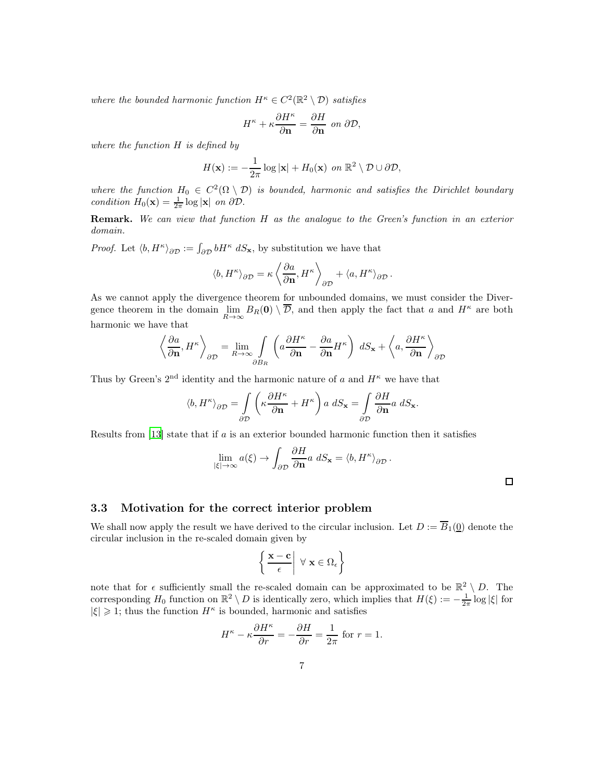where the bounded harmonic function  $H^{\kappa} \in C^2(\mathbb{R}^2 \setminus \mathcal{D})$  satisfies

$$
H^{\kappa} + \kappa \frac{\partial H^{\kappa}}{\partial \mathbf{n}} = \frac{\partial H}{\partial \mathbf{n}} \text{ on } \partial \mathcal{D},
$$

where the function  $H$  is defined by

$$
H(\mathbf{x}) := -\frac{1}{2\pi} \log |\mathbf{x}| + H_0(\mathbf{x}) \text{ on } \mathbb{R}^2 \setminus \mathcal{D} \cup \partial \mathcal{D},
$$

where the function  $H_0 \in C^2(\Omega \setminus \mathcal{D})$  is bounded, harmonic and satisfies the Dirichlet boundary condition  $H_0(\mathbf{x}) = \frac{1}{2\pi} \log |\mathbf{x}|$  on  $\partial \mathcal{D}$ .

Remark. We can view that function H as the analogue to the Green's function in an exterior domain.

*Proof.* Let  $\langle b, H^{\kappa} \rangle_{\partial \mathcal{D}} := \int_{\partial \mathcal{D}} b H^{\kappa} dS_{\mathbf{x}}$ , by substitution we have that

$$
\langle b, H^{\kappa} \rangle_{\partial \mathcal{D}} = \kappa \left\langle \frac{\partial a}{\partial \mathbf{n}}, H^{\kappa} \right\rangle_{\partial \mathcal{D}} + \langle a, H^{\kappa} \rangle_{\partial \mathcal{D}}.
$$

As we cannot apply the divergence theorem for unbounded domains, we must consider the Divergence theorem in the domain  $\lim_{R\to\infty}B_R(0)\setminus\overline{\mathcal{D}}$ , and then apply the fact that a and  $H^{\kappa}$  are both harmonic we have that

$$
\left\langle \frac{\partial a}{\partial \mathbf{n}}, H^{\kappa} \right\rangle_{\partial \mathcal{D}} = \lim_{R \to \infty} \int_{\partial B_R} \left( a \frac{\partial H^{\kappa}}{\partial \mathbf{n}} - \frac{\partial a}{\partial \mathbf{n}} H^{\kappa} \right) dS_{\mathbf{x}} + \left\langle a, \frac{\partial H^{\kappa}}{\partial \mathbf{n}} \right\rangle_{\partial \mathcal{D}}
$$

Thus by Green's  $2<sup>nd</sup>$  identity and the harmonic nature of a and  $H^{\kappa}$  we have that

$$
\langle b, H^{\kappa} \rangle_{\partial \mathcal{D}} = \int_{\partial \mathcal{D}} \left( \kappa \frac{\partial H^{\kappa}}{\partial \mathbf{n}} + H^{\kappa} \right) a \, dS_{\mathbf{x}} = \int_{\partial \mathcal{D}} \frac{\partial H}{\partial \mathbf{n}} a \, dS_{\mathbf{x}}.
$$

Results from [\[13](#page-16-3)] state that if  $a$  is an exterior bounded harmonic function then it satisfies

$$
\lim_{|\xi| \to \infty} a(\xi) \to \int_{\partial \mathcal{D}} \frac{\partial H}{\partial \mathbf{n}} a \, dS_{\mathbf{x}} = \langle b, H^{\kappa} \rangle_{\partial \mathcal{D}}.
$$

 $\Box$ 

#### 3.3 Motivation for the correct interior problem

We shall now apply the result we have derived to the circular inclusion. Let  $D := \overline{B}_1(0)$  denote the circular inclusion in the re-scaled domain given by

$$
\left\{ \left. \frac{\mathbf{x} - \mathbf{c}}{\epsilon} \right| \ \forall \ \mathbf{x} \in \Omega_{\epsilon} \right\}
$$

note that for  $\epsilon$  sufficiently small the re-scaled domain can be approximated to be  $\mathbb{R}^2 \setminus D$ . The corresponding  $H_0$  function on  $\mathbb{R}^2 \setminus D$  is identically zero, which implies that  $H(\xi) := -\frac{1}{2\pi} \log |\xi|$  for  $|\xi| \geq 1$ ; thus the function  $H^{\kappa}$  is bounded, harmonic and satisfies

$$
H^{\kappa} - \kappa \frac{\partial H^{\kappa}}{\partial r} = -\frac{\partial H}{\partial r} = \frac{1}{2\pi} \text{ for } r = 1.
$$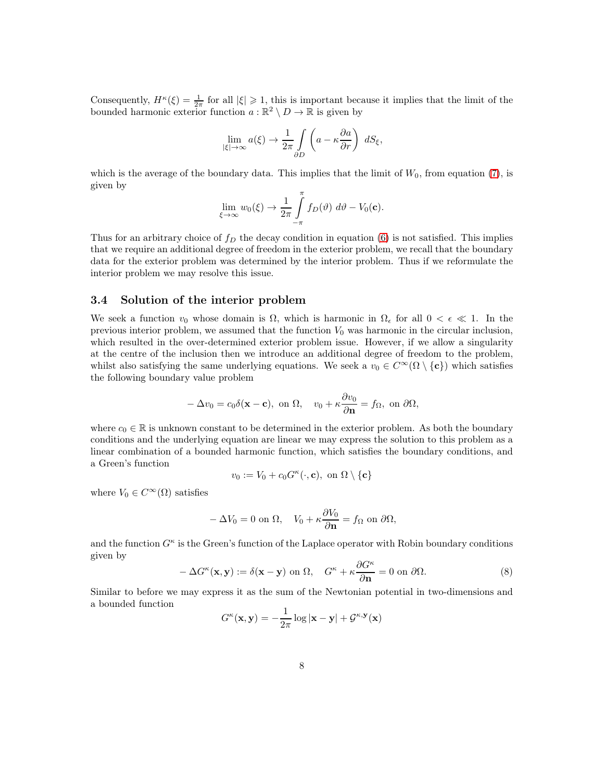Consequently,  $H^{\kappa}(\xi) = \frac{1}{2\pi}$  for all  $|\xi| \geq 1$ , this is important because it implies that the limit of the bounded harmonic exterior function  $a : \mathbb{R}^2 \setminus D \to \mathbb{R}$  is given by

$$
\lim_{|\xi| \to \infty} a(\xi) \to \frac{1}{2\pi} \int_{\partial D} \left( a - \kappa \frac{\partial a}{\partial r} \right) dS_{\xi},
$$

which is the average of the boundary data. This implies that the limit of  $W_0$ , from equation [\(7\)](#page-5-0), is given by

$$
\lim_{\xi \to \infty} w_0(\xi) \to \frac{1}{2\pi} \int_{-\pi}^{\pi} f_D(\vartheta) \, d\vartheta - V_0(\mathbf{c}).
$$

Thus for an arbitrary choice of  $f_D$  the decay condition in equation [\(6\)](#page-5-1) is not satisfied. This implies that we require an additional degree of freedom in the exterior problem, we recall that the boundary data for the exterior problem was determined by the interior problem. Thus if we reformulate the interior problem we may resolve this issue.

# 3.4 Solution of the interior problem

We seek a function  $v_0$  whose domain is  $\Omega$ , which is harmonic in  $\Omega_{\epsilon}$  for all  $0 < \epsilon \ll 1$ . In the previous interior problem, we assumed that the function  $V_0$  was harmonic in the circular inclusion, which resulted in the over-determined exterior problem issue. However, if we allow a singularity at the centre of the inclusion then we introduce an additional degree of freedom to the problem, whilst also satisfying the same underlying equations. We seek a  $v_0 \in C^{\infty}(\Omega \setminus {\{c\}})$  which satisfies the following boundary value problem

$$
-\Delta v_0 = c_0 \delta(\mathbf{x} - \mathbf{c}), \text{ on } \Omega, \quad v_0 + \kappa \frac{\partial v_0}{\partial \mathbf{n}} = f_\Omega, \text{ on } \partial \Omega,
$$

where  $c_0 \in \mathbb{R}$  is unknown constant to be determined in the exterior problem. As both the boundary conditions and the underlying equation are linear we may express the solution to this problem as a linear combination of a bounded harmonic function, which satisfies the boundary conditions, and a Green's function

$$
v_0 := V_0 + c_0 G^{\kappa}(\cdot, \mathbf{c}), \text{ on } \Omega \setminus \{\mathbf{c}\}\
$$

where  $V_0 \in C^{\infty}(\Omega)$  satisfies

$$
-\Delta V_0 = 0 \text{ on } \Omega, \quad V_0 + \kappa \frac{\partial V_0}{\partial \mathbf{n}} = f_\Omega \text{ on } \partial \Omega,
$$

and the function  $G^{\kappa}$  is the Green's function of the Laplace operator with Robin boundary conditions given by

<span id="page-7-0"></span>
$$
-\Delta G^{\kappa}(\mathbf{x}, \mathbf{y}) := \delta(\mathbf{x} - \mathbf{y}) \text{ on } \Omega, \quad G^{\kappa} + \kappa \frac{\partial G^{\kappa}}{\partial \mathbf{n}} = 0 \text{ on } \partial \Omega. \tag{8}
$$

Similar to before we may express it as the sum of the Newtonian potential in two-dimensions and a bounded function

$$
G^{\kappa}(\mathbf{x}, \mathbf{y}) = -\frac{1}{2\pi} \log |\mathbf{x} - \mathbf{y}| + \mathcal{G}^{\kappa, \mathbf{y}}(\mathbf{x})
$$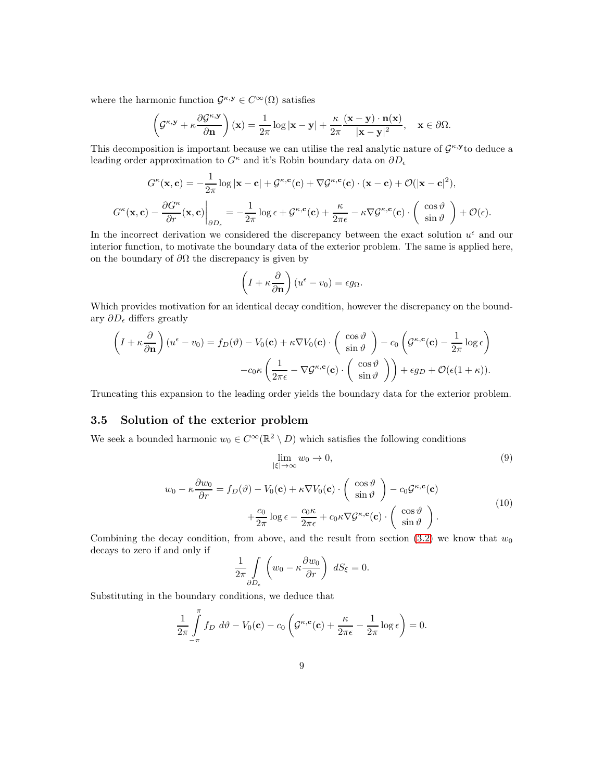where the harmonic function  $\mathcal{G}^{\kappa,\mathbf{y}} \in C^{\infty}(\Omega)$  satisfies

$$
\left(\mathcal{G}^{\kappa,\mathbf{y}} + \kappa \frac{\partial \mathcal{G}^{\kappa,\mathbf{y}}}{\partial \mathbf{n}}\right)(\mathbf{x}) = \frac{1}{2\pi} \log|\mathbf{x} - \mathbf{y}| + \frac{\kappa}{2\pi} \frac{(\mathbf{x} - \mathbf{y}) \cdot \mathbf{n}(\mathbf{x})}{|\mathbf{x} - \mathbf{y}|^2}, \quad \mathbf{x} \in \partial \Omega.
$$

This decomposition is important because we can utilise the real analytic nature of  $\mathcal{G}^{\kappa,\mathbf{y}}$  to deduce a leading order approximation to  $G^{\kappa}$  and it's Robin boundary data on  $\partial D_{\epsilon}$ 

$$
G^{\kappa}(\mathbf{x}, \mathbf{c}) = -\frac{1}{2\pi} \log |\mathbf{x} - \mathbf{c}| + \mathcal{G}^{\kappa, \mathbf{c}}(\mathbf{c}) + \nabla \mathcal{G}^{\kappa, \mathbf{c}}(\mathbf{c}) \cdot (\mathbf{x} - \mathbf{c}) + \mathcal{O}(|\mathbf{x} - \mathbf{c}|^2),
$$

$$
G^{\kappa}(\mathbf{x}, \mathbf{c}) - \frac{\partial G^{\kappa}}{\partial r}(\mathbf{x}, \mathbf{c})\Big|_{\partial D_{\epsilon}} = -\frac{1}{2\pi} \log \epsilon + \mathcal{G}^{\kappa, \mathbf{c}}(\mathbf{c}) + \frac{\kappa}{2\pi \epsilon} - \kappa \nabla \mathcal{G}^{\kappa, \mathbf{c}}(\mathbf{c}) \cdot \left(\begin{array}{c} \cos \vartheta \\ \sin \vartheta \end{array}\right) + \mathcal{O}(\epsilon).
$$

In the incorrect derivation we considered the discrepancy between the exact solution  $u^{\epsilon}$  and our interior function, to motivate the boundary data of the exterior problem. The same is applied here, on the boundary of  $\partial\Omega$  the discrepancy is given by

$$
\left(I + \kappa \frac{\partial}{\partial \mathbf{n}}\right)(u^{\epsilon} - v_0) = \epsilon g_{\Omega}.
$$

Which provides motivation for an identical decay condition, however the discrepancy on the boundary  $\partial D_{\epsilon}$  differs greatly

$$
\left(I + \kappa \frac{\partial}{\partial \mathbf{n}}\right)(u^{\epsilon} - v_0) = f_D(\vartheta) - V_0(\mathbf{c}) + \kappa \nabla V_0(\mathbf{c}) \cdot \left(\begin{array}{c} \cos \vartheta \\ \sin \vartheta \end{array}\right) - c_0 \left(\mathcal{G}^{\kappa, \mathbf{c}}(\mathbf{c}) - \frac{1}{2\pi} \log \epsilon\right) -c_0 \kappa \left(\frac{1}{2\pi \epsilon} - \nabla \mathcal{G}^{\kappa, \mathbf{c}}(\mathbf{c}) \cdot \left(\begin{array}{c} \cos \vartheta \\ \sin \vartheta \end{array}\right)\right) + \epsilon g_D + \mathcal{O}(\epsilon (1 + \kappa)).
$$

Truncating this expansion to the leading order yields the boundary data for the exterior problem.

## 3.5 Solution of the exterior problem

We seek a bounded harmonic  $w_0 \in C^{\infty}(\mathbb{R}^2 \setminus D)$  which satisfies the following conditions

$$
\lim_{|\xi| \to \infty} w_0 \to 0,\tag{9}
$$

$$
w_0 - \kappa \frac{\partial w_0}{\partial r} = f_D(\vartheta) - V_0(\mathbf{c}) + \kappa \nabla V_0(\mathbf{c}) \cdot \left(\begin{array}{c} \cos \vartheta \\ \sin \vartheta \end{array}\right) - c_0 \mathcal{G}^{\kappa, \mathbf{c}}(\mathbf{c}) + \frac{c_0}{2\pi} \log \epsilon - \frac{c_0 \kappa}{2\pi \epsilon} + c_0 \kappa \nabla \mathcal{G}^{\kappa, \mathbf{c}}(\mathbf{c}) \cdot \left(\begin{array}{c} \cos \vartheta \\ \sin \vartheta \end{array}\right).
$$
(10)

Combining the decay condition, from above, and the result from section [\(3.2\)](#page-5-2) we know that  $w_0$ decays to zero if and only if

$$
\frac{1}{2\pi} \int\limits_{\partial D_{\epsilon}} \left( w_0 - \kappa \frac{\partial w_0}{\partial r} \right) dS_{\xi} = 0.
$$

Substituting in the boundary conditions, we deduce that

$$
\frac{1}{2\pi} \int_{-\pi}^{\pi} f_D \ d\vartheta - V_0(\mathbf{c}) - c_0 \left( \mathcal{G}^{\kappa, \mathbf{c}}(\mathbf{c}) + \frac{\kappa}{2\pi \epsilon} - \frac{1}{2\pi} \log \epsilon \right) = 0.
$$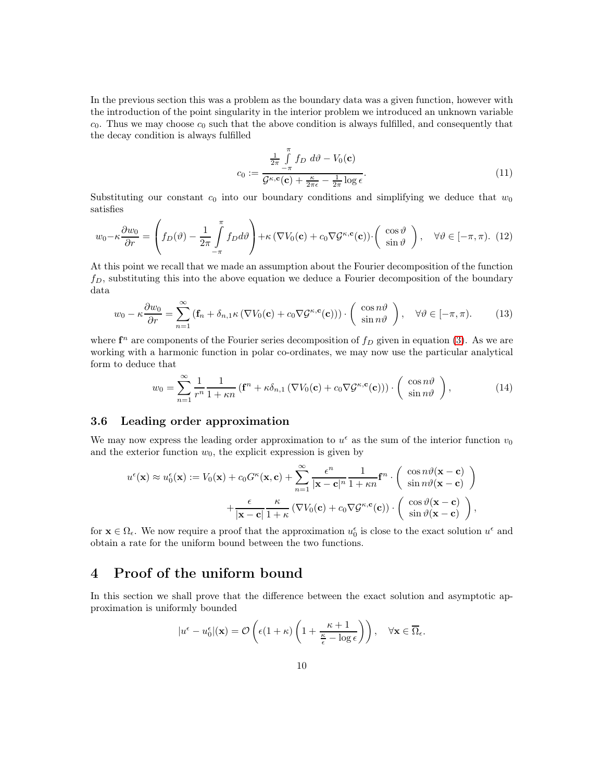In the previous section this was a problem as the boundary data was a given function, however with the introduction of the point singularity in the interior problem we introduced an unknown variable  $c_0$ . Thus we may choose  $c_0$  such that the above condition is always fulfilled, and consequently that the decay condition is always fulfilled

<span id="page-9-1"></span>
$$
c_0 := \frac{\frac{1}{2\pi} \int\limits_{-\pi}^{\pi} f_D \, d\vartheta - V_0(\mathbf{c})}{\mathcal{G}^{\kappa, \mathbf{c}}(\mathbf{c}) + \frac{\kappa}{2\pi \epsilon} - \frac{1}{2\pi} \log \epsilon}.
$$
\n(11)

Substituting our constant  $c_0$  into our boundary conditions and simplifying we deduce that  $w_0$ satisfies

$$
w_0 - \kappa \frac{\partial w_0}{\partial r} = \left( f_D(\vartheta) - \frac{1}{2\pi} \int_{-\pi}^{\pi} f_D d\vartheta \right) + \kappa \left( \nabla V_0(\mathbf{c}) + c_0 \nabla \mathcal{G}^{\kappa, \mathbf{c}}(\mathbf{c}) \right) \cdot \left( \begin{array}{c} \cos \vartheta \\ \sin \vartheta \end{array} \right), \quad \forall \vartheta \in [-\pi, \pi). \tag{12}
$$

At this point we recall that we made an assumption about the Fourier decomposition of the function  $f_D$ , substituting this into the above equation we deduce a Fourier decomposition of the boundary data

<span id="page-9-0"></span>
$$
w_0 - \kappa \frac{\partial w_0}{\partial r} = \sum_{n=1}^{\infty} \left( \mathbf{f}_n + \delta_{n,1} \kappa \left( \nabla V_0(\mathbf{c}) + c_0 \nabla \mathcal{G}^{\kappa,\mathbf{c}}(\mathbf{c}) \right) \right) \cdot \left( \begin{array}{c} \cos n\vartheta \\ \sin n\vartheta \end{array} \right), \quad \forall \vartheta \in [-\pi, \pi). \tag{13}
$$

where  $f^n$  are components of the Fourier series decomposition of  $f_D$  given in equation [\(3\)](#page-2-0). As we are working with a harmonic function in polar co-ordinates, we may now use the particular analytical form to deduce that

<span id="page-9-2"></span>
$$
w_0 = \sum_{n=1}^{\infty} \frac{1}{r^n} \frac{1}{1+\kappa n} \left( \mathbf{f}^n + \kappa \delta_{n,1} \left( \nabla V_0(\mathbf{c}) + c_0 \nabla \mathcal{G}^{\kappa,\mathbf{c}}(\mathbf{c}) \right) \right) \cdot \left( \begin{array}{c} \cos n\vartheta \\ \sin n\vartheta \end{array} \right),\tag{14}
$$

# 3.6 Leading order approximation

We may now express the leading order approximation to  $u^{\epsilon}$  as the sum of the interior function  $v_0$ and the exterior function  $w_0$ , the explicit expression is given by

$$
u^{\epsilon}(\mathbf{x}) \approx u_0^{\epsilon}(\mathbf{x}) := V_0(\mathbf{x}) + c_0 G^{\kappa}(\mathbf{x}, \mathbf{c}) + \sum_{n=1}^{\infty} \frac{\epsilon^n}{|\mathbf{x} - \mathbf{c}|^n} \frac{1}{1 + \kappa n} \mathbf{f}^n \cdot \begin{pmatrix} \cos n\vartheta(\mathbf{x} - \mathbf{c}) \\ \sin n\vartheta(\mathbf{x} - \mathbf{c}) \end{pmatrix} + \frac{\epsilon}{|\mathbf{x} - \mathbf{c}|} \frac{\kappa}{1 + \kappa} \left( \nabla V_0(\mathbf{c}) + c_0 \nabla \mathcal{G}^{\kappa, \mathbf{c}}(\mathbf{c}) \right) \cdot \begin{pmatrix} \cos \vartheta(\mathbf{x} - \mathbf{c}) \\ \sin \vartheta(\mathbf{x} - \mathbf{c}) \end{pmatrix},
$$

for  $\mathbf{x} \in \Omega_{\epsilon}$ . We now require a proof that the approximation  $u_0^{\epsilon}$  is close to the exact solution  $u^{\epsilon}$  and obtain a rate for the uniform bound between the two functions.

# 4 Proof of the uniform bound

In this section we shall prove that the difference between the exact solution and asymptotic approximation is uniformly bounded

$$
|u^{\epsilon}-u_{0}^{\epsilon}|(\mathbf{x})=\mathcal{O}\left(\epsilon(1+\kappa)\left(1+\frac{\kappa+1}{\frac{\kappa}{\epsilon}-\log\epsilon}\right)\right), \quad \forall \mathbf{x}\in\overline{\Omega}_{\epsilon}.
$$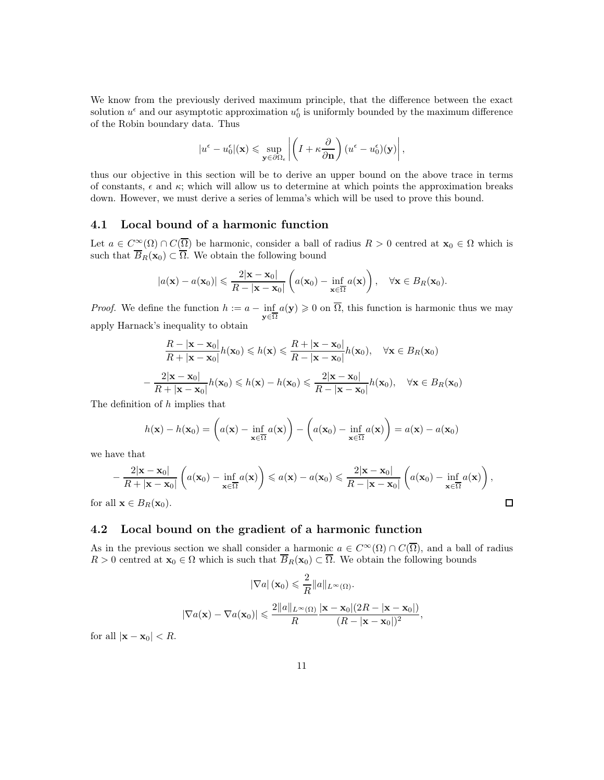We know from the previously derived maximum principle, that the difference between the exact solution  $u^{\epsilon}$  and our asymptotic approximation  $u_0^{\epsilon}$  is uniformly bounded by the maximum difference of the Robin boundary data. Thus

$$
|u^{\epsilon}-u_{0}^{\epsilon}||(\mathbf{x})\leq \sup_{\mathbf{y}\in\partial\Omega_{\epsilon}}\left|\left(I+\kappa\frac{\partial}{\partial \mathbf{n}}\right)(u^{\epsilon}-u_{0}^{\epsilon})(\mathbf{y})\right|,
$$

thus our objective in this section will be to derive an upper bound on the above trace in terms of constants,  $\epsilon$  and  $\kappa$ ; which will allow us to determine at which points the approximation breaks down. However, we must derive a series of lemma's which will be used to prove this bound.

## <span id="page-10-0"></span>4.1 Local bound of a harmonic function

Let  $a \in C^{\infty}(\Omega) \cap C(\overline{\Omega})$  be harmonic, consider a ball of radius  $R > 0$  centred at  $\mathbf{x}_0 \in \Omega$  which is such that  $B_R(\mathbf{x}_0) \subset \Omega$ . We obtain the following bound

$$
|a(\mathbf{x}) - a(\mathbf{x}_0)| \leqslant \frac{2|\mathbf{x} - \mathbf{x}_0|}{R - |\mathbf{x} - \mathbf{x}_0|} \left( a(\mathbf{x}_0) - \inf_{\mathbf{x} \in \overline{\Omega}} a(\mathbf{x}) \right), \quad \forall \mathbf{x} \in B_R(\mathbf{x}_0).
$$

*Proof.* We define the function  $h := a - \inf_{\mathbf{y} \in \overline{\Omega}} a(\mathbf{y}) \geq 0$  on  $\overline{\Omega}$ , this function is harmonic thus we may apply Harnack's inequality to obtain

$$
\frac{R - |\mathbf{x} - \mathbf{x}_0|}{R + |\mathbf{x} - \mathbf{x}_0|} h(\mathbf{x}_0) \leq h(\mathbf{x}) \leq \frac{R + |\mathbf{x} - \mathbf{x}_0|}{R - |\mathbf{x} - \mathbf{x}_0|} h(\mathbf{x}_0), \quad \forall \mathbf{x} \in B_R(\mathbf{x}_0)
$$

$$
-\frac{2|\mathbf{x} - \mathbf{x}_0|}{R + |\mathbf{x} - \mathbf{x}_0|} h(\mathbf{x}_0) \leq h(\mathbf{x}) - h(\mathbf{x}_0) \leq \frac{2|\mathbf{x} - \mathbf{x}_0|}{R - |\mathbf{x} - \mathbf{x}_0|} h(\mathbf{x}_0), \quad \forall \mathbf{x} \in B_R(\mathbf{x}_0)
$$

The definition of h implies that

$$
h(\mathbf{x}) - h(\mathbf{x}_0) = \left(a(\mathbf{x}) - \inf_{\mathbf{x} \in \overline{\Omega}} a(\mathbf{x})\right) - \left(a(\mathbf{x}_0) - \inf_{\mathbf{x} \in \overline{\Omega}} a(\mathbf{x})\right) = a(\mathbf{x}) - a(\mathbf{x}_0)
$$

we have that

$$
-\frac{2|\mathbf{x}-\mathbf{x}_0|}{R+|\mathbf{x}-\mathbf{x}_0|}\left(a(\mathbf{x}_0)-\inf_{\mathbf{x}\in\overline{\Omega}}a(\mathbf{x})\right)\leqslant a(\mathbf{x})-a(\mathbf{x}_0)\leqslant\frac{2|\mathbf{x}-\mathbf{x}_0|}{R-|\mathbf{x}-\mathbf{x}_0|}\left(a(\mathbf{x}_0)-\inf_{\mathbf{x}\in\overline{\Omega}}a(\mathbf{x})\right),
$$
  
ll  $\mathbf{x}\in B_R(\mathbf{x}_0)$ .

for all  $\mathbf{x} \in B_R(\mathbf{x}_0)$ .

## <span id="page-10-1"></span>4.2 Local bound on the gradient of a harmonic function

As in the previous section we shall consider a harmonic  $a \in C^{\infty}(\Omega) \cap C(\overline{\Omega})$ , and a ball of radius  $R > 0$  centred at  $\mathbf{x}_0 \in \Omega$  which is such that  $\overline{B}_R(\mathbf{x}_0) \subset \overline{\Omega}$ . We obtain the following bounds

$$
|\nabla a| (\mathbf{x}_0) \leq \frac{2}{R} ||a||_{L^{\infty}(\Omega)}.
$$
  

$$
|\nabla a(\mathbf{x}) - \nabla a(\mathbf{x}_0)| \leq \frac{2||a||_{L^{\infty}(\Omega)}}{R} \frac{|\mathbf{x} - \mathbf{x}_0|(2R - |\mathbf{x} - \mathbf{x}_0|)}{(R - |\mathbf{x} - \mathbf{x}_0|)^2},
$$

for all  $|\mathbf{x} - \mathbf{x}_0| < R$ .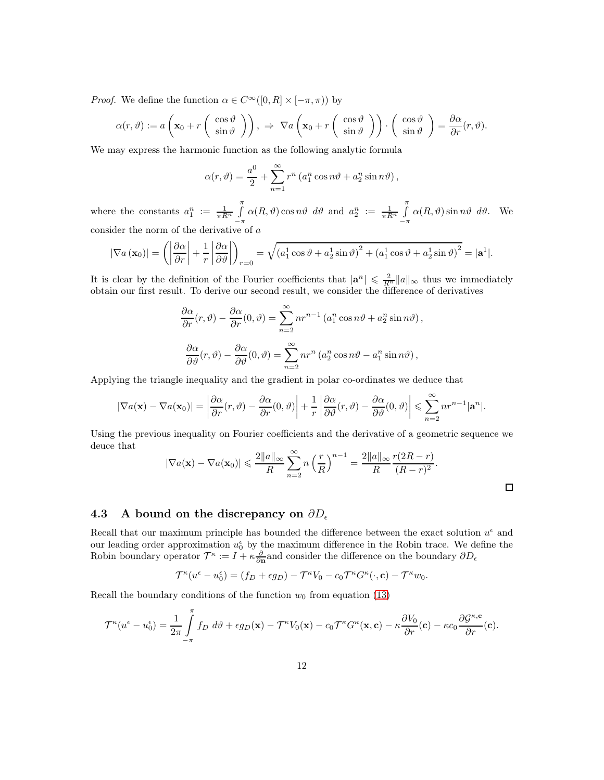*Proof.* We define the function  $\alpha \in C^{\infty}([0, R] \times [-\pi, \pi))$  by

$$
\alpha(r,\vartheta) := a\left(\mathbf{x}_0 + r\left(\begin{array}{c} \cos\vartheta\\ \sin\vartheta \end{array}\right)\right), \implies \nabla a\left(\mathbf{x}_0 + r\left(\begin{array}{c} \cos\vartheta\\ \sin\vartheta \end{array}\right)\right) \cdot \left(\begin{array}{c} \cos\vartheta\\ \sin\vartheta \end{array}\right) = \frac{\partial\alpha}{\partial r}(r,\vartheta).
$$

We may express the harmonic function as the following analytic formula

$$
\alpha(r,\vartheta) = \frac{a^0}{2} + \sum_{n=1}^{\infty} r^n \left( a_1^n \cos n\vartheta + a_2^n \sin n\vartheta \right),
$$

where the constants  $a_1^n := \frac{1}{\pi R^n} \int_0^{\pi}$  $-\pi$  $\alpha(R,\vartheta) \cos n\vartheta \, d\vartheta$  and  $a_2^n := \frac{1}{\pi R^n} \int_0^{\pi}$  $-\pi$  $\alpha(R, \vartheta)$  sin  $n\vartheta \, d\vartheta$ . We consider the norm of the derivative of  $a$ 

$$
|\nabla a(\mathbf{x}_0)| = \left( \left| \frac{\partial \alpha}{\partial r} \right| + \frac{1}{r} \left| \frac{\partial \alpha}{\partial \vartheta} \right| \right)_{r=0} = \sqrt{\left( a_1^1 \cos \vartheta + a_2^1 \sin \vartheta \right)^2 + \left( a_1^1 \cos \vartheta + a_2^1 \sin \vartheta \right)^2} = |\mathbf{a}^1|.
$$

It is clear by the definition of the Fourier coefficients that  $|\mathbf{a}^n| \leq \frac{2}{R^n} ||a||_{\infty}$  thus we immediately obtain our first result. To derive our second result, we consider the difference of derivatives

$$
\frac{\partial \alpha}{\partial r}(r,\vartheta) - \frac{\partial \alpha}{\partial r}(0,\vartheta) = \sum_{n=2}^{\infty} nr^{n-1} (a_1^n \cos n\vartheta + a_2^n \sin n\vartheta),
$$

$$
\frac{\partial \alpha}{\partial \vartheta}(r,\vartheta) - \frac{\partial \alpha}{\partial \vartheta}(0,\vartheta) = \sum_{n=2}^{\infty} nr^n (a_2^n \cos n\vartheta - a_1^n \sin n\vartheta),
$$

Applying the triangle inequality and the gradient in polar co-ordinates we deduce that

$$
|\nabla a(\mathbf{x}) - \nabla a(\mathbf{x}_0)| = \left|\frac{\partial \alpha}{\partial r}(r,\vartheta) - \frac{\partial \alpha}{\partial r}(0,\vartheta)\right| + \frac{1}{r} \left|\frac{\partial \alpha}{\partial \vartheta}(r,\vartheta) - \frac{\partial \alpha}{\partial \vartheta}(0,\vartheta)\right| \leqslant \sum_{n=2}^{\infty} nr^{n-1} |\mathbf{a}^n|.
$$

Using the previous inequality on Fourier coefficients and the derivative of a geometric sequence we deuce that

$$
|\nabla a(\mathbf{x}) - \nabla a(\mathbf{x}_0)| \leqslant \frac{2||a||_{\infty}}{R} \sum_{n=2}^{\infty} n \left(\frac{r}{R}\right)^{n-1} = \frac{2||a||_{\infty}}{R} \frac{r(2R-r)}{(R-r)^2}.
$$

 $\Box$ 

## 4.3 A bound on the discrepancy on  $\partial D_{\epsilon}$

Recall that our maximum principle has bounded the difference between the exact solution  $u^{\epsilon}$  and our leading order approximation  $u_0^{\epsilon}$  by the maximum difference in the Robin trace. We define the Robin boundary operator  $\mathcal{T}^{\kappa} := I + \kappa \frac{\partial}{\partial n}$  and consider the difference on the boundary  $\partial D_{\epsilon}$ 

$$
\mathcal{T}^{\kappa}(u^{\epsilon}-u_0^{\epsilon})=(f_D+\epsilon g_D)-\mathcal{T}^{\kappa}V_0-c_0\mathcal{T}^{\kappa}G^{\kappa}(\cdot,\mathbf{c})-\mathcal{T}^{\kappa}w_0.
$$

Recall the boundary conditions of the function  $w_0$  from equation [\(13\)](#page-9-0)

$$
\mathcal{T}^{\kappa}(u^{\epsilon}-u_0^{\epsilon})=\frac{1}{2\pi}\int\limits_{-\pi}^{\pi}f_D\ d\vartheta+\epsilon g_D(\mathbf{x})-\mathcal{T}^{\kappa}V_0(\mathbf{x})-c_0\mathcal{T}^{\kappa}G^{\kappa}(\mathbf{x},\mathbf{c})-\kappa\frac{\partial V_0}{\partial r}(\mathbf{c})-\kappa c_0\frac{\partial\mathcal{G}^{\kappa,\mathbf{c}}}{\partial r}(\mathbf{c}).
$$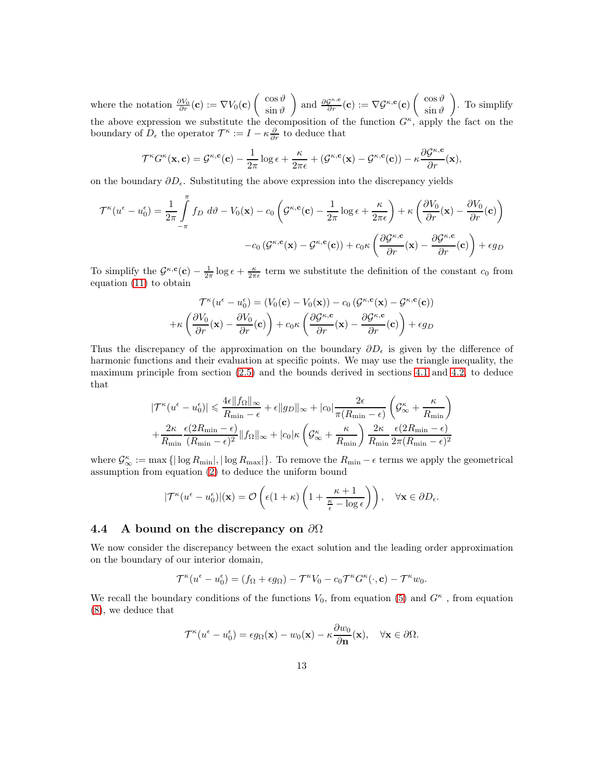where the notation  $\frac{\partial V_0}{\partial r}(\mathbf{c}) := \nabla V_0(\mathbf{c}) \begin{pmatrix} \cos \vartheta \\ \sin \vartheta \end{pmatrix}$  $\sin \vartheta$ and  $\frac{\partial \mathcal{G}^{\kappa,\mathbf{c}}}{\partial r}(\mathbf{c}) := \nabla \mathcal{G}^{\kappa,\mathbf{c}}(\mathbf{c}) \left( \begin{array}{c} \cos \vartheta \\ \sin \vartheta \end{array} \right)$  $\sin \vartheta$  . To simplify the above expression we substitute the decomposition of the function  $G^{\kappa}$ , apply the fact on the boundary of  $D_{\epsilon}$  the operator  $\mathcal{T}^{\kappa} := I - \kappa \frac{\partial}{\partial r}$  to deduce that

$$
\mathcal{T}^{\kappa}G^{\kappa}(\mathbf{x}, \mathbf{c}) = \mathcal{G}^{\kappa, \mathbf{c}}(\mathbf{c}) - \frac{1}{2\pi} \log \epsilon + \frac{\kappa}{2\pi \epsilon} + (\mathcal{G}^{\kappa, \mathbf{c}}(\mathbf{x}) - \mathcal{G}^{\kappa, \mathbf{c}}(\mathbf{c})) - \kappa \frac{\partial \mathcal{G}^{\kappa, \mathbf{c}}}{\partial r}(\mathbf{x}),
$$

on the boundary  $\partial D_{\epsilon}$ . Substituting the above expression into the discrepancy yields

$$
\mathcal{T}^{\kappa}(u^{\epsilon} - u_0^{\epsilon}) = \frac{1}{2\pi} \int_{-\pi}^{\pi} f_D \ d\vartheta - V_0(\mathbf{x}) - c_0 \left( \mathcal{G}^{\kappa, \mathbf{c}}(\mathbf{c}) - \frac{1}{2\pi} \log \epsilon + \frac{\kappa}{2\pi \epsilon} \right) + \kappa \left( \frac{\partial V_0}{\partial r}(\mathbf{x}) - \frac{\partial V_0}{\partial r}(\mathbf{c}) \right) - c_0 \left( \mathcal{G}^{\kappa, \mathbf{c}}(\mathbf{x}) - \mathcal{G}^{\kappa, \mathbf{c}}(\mathbf{c}) \right) + c_0 \kappa \left( \frac{\partial \mathcal{G}^{\kappa, \mathbf{c}}}{\partial r}(\mathbf{x}) - \frac{\partial \mathcal{G}^{\kappa, \mathbf{c}}}{\partial r}(\mathbf{c}) \right) + \epsilon g_D
$$

To simplify the  $\mathcal{G}^{\kappa,\mathbf{c}}(\mathbf{c}) - \frac{1}{2\pi} \log \epsilon + \frac{\kappa}{2\pi \epsilon}$  term we substitute the definition of the constant  $c_0$  from equation [\(11\)](#page-9-1) to obtain

$$
\mathcal{T}^{\kappa}(u^{\epsilon} - u_0^{\epsilon}) = (V_0(\mathbf{c}) - V_0(\mathbf{x})) - c_0 (\mathcal{G}^{\kappa, \mathbf{c}}(\mathbf{x}) - \mathcal{G}^{\kappa, \mathbf{c}}(\mathbf{c}))
$$

$$
+ \kappa \left( \frac{\partial V_0}{\partial r}(\mathbf{x}) - \frac{\partial V_0}{\partial r}(\mathbf{c}) \right) + c_0 \kappa \left( \frac{\partial \mathcal{G}^{\kappa, \mathbf{c}}}{\partial r}(\mathbf{x}) - \frac{\partial \mathcal{G}^{\kappa, \mathbf{c}}}{\partial r}(\mathbf{c}) \right) + \epsilon g_D
$$

Thus the discrepancy of the approximation on the boundary  $\partial D_{\epsilon}$  is given by the difference of harmonic functions and their evaluation at specific points. We may use the triangle inequality, the maximum principle from section [\(2.5\)](#page-3-1) and the bounds derived in sections [4.1](#page-10-0) and [4.2,](#page-10-1) to deduce that

$$
|\mathcal{T}^{\kappa}(u^{\epsilon} - u_0^{\epsilon})| \leq \frac{4\epsilon ||f_{\Omega}||_{\infty}}{R_{\min} - \epsilon} + \epsilon ||g_D||_{\infty} + |c_0| \frac{2\epsilon}{\pi (R_{\min} - \epsilon)} \left( \mathcal{G}_{\infty}^{\kappa} + \frac{\kappa}{R_{\min}} \right) + \frac{2\kappa}{R_{\min}} \frac{\epsilon (2R_{\min} - \epsilon)}{(R_{\min} - \epsilon)^2} ||f_{\Omega}||_{\infty} + |c_0|\kappa \left( \mathcal{G}_{\infty}^{\kappa} + \frac{\kappa}{R_{\min}} \right) \frac{2\kappa}{R_{\min}} \frac{\epsilon (2R_{\min} - \epsilon)}{2\pi (R_{\min} - \epsilon)^2}
$$

where  $\mathcal{G}_{\infty}^{\kappa} := \max \{ |\log R_{\min}|, |\log R_{\max}| \}.$  To remove the  $R_{\min} - \epsilon$  terms we apply the geometrical assumption from equation [\(2\)](#page-1-0) to deduce the uniform bound

$$
|\mathcal{T}^{\kappa}(u^{\epsilon}-u_0^{\epsilon})|(\mathbf{x})=\mathcal{O}\left(\epsilon(1+\kappa)\left(1+\frac{\kappa+1}{\frac{\kappa}{\epsilon}-\log\epsilon}\right)\right), \quad \forall \mathbf{x}\in\partial D_{\epsilon}.
$$

## 4.4 A bound on the discrepancy on  $\partial\Omega$

We now consider the discrepancy between the exact solution and the leading order approximation on the boundary of our interior domain,

$$
\mathcal{T}^{\kappa}(u^{\epsilon}-u_0^{\epsilon})=(f_{\Omega}+\epsilon g_{\Omega})-\mathcal{T}^{\kappa}V_0-c_0\mathcal{T}^{\kappa}G^{\kappa}(\cdot,\mathbf{c})-\mathcal{T}^{\kappa}w_0.
$$

We recall the boundary conditions of the functions  $V_0$ , from equation [\(5\)](#page-4-0) and  $G<sup>\kappa</sup>$ , from equation [\(8\)](#page-7-0), we deduce that

$$
\mathcal{T}^{\kappa}(u^{\epsilon}-u_0^{\epsilon})=\epsilon g_{\Omega}(\mathbf{x})-w_0(\mathbf{x})-\kappa \frac{\partial w_0}{\partial \mathbf{n}}(\mathbf{x}), \quad \forall \mathbf{x} \in \partial \Omega.
$$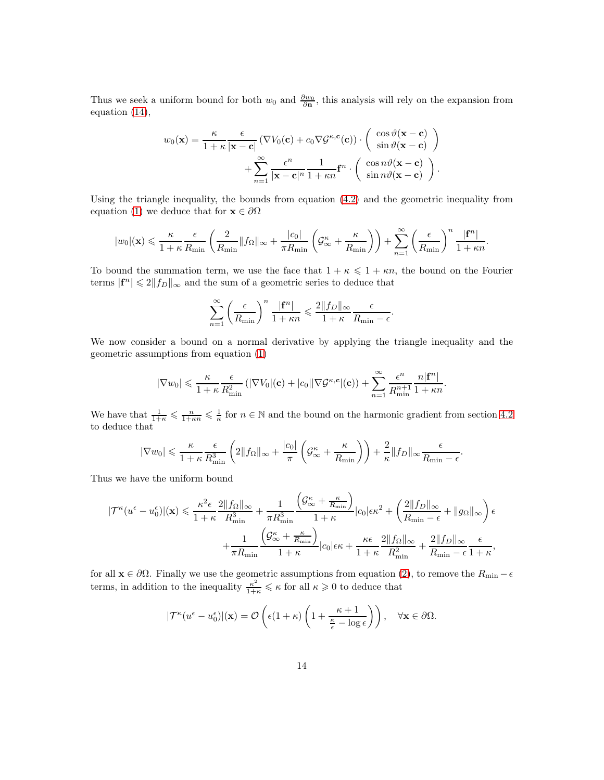Thus we seek a uniform bound for both  $w_0$  and  $\frac{\partial w_0}{\partial n}$ , this analysis will rely on the expansion from equation [\(14\)](#page-9-2),

$$
w_0(\mathbf{x}) = \frac{\kappa}{1+\kappa} \frac{\epsilon}{|\mathbf{x}-\mathbf{c}|} \left( \nabla V_0(\mathbf{c}) + c_0 \nabla \mathcal{G}^{\kappa, \mathbf{c}}(\mathbf{c}) \right) \cdot \begin{pmatrix} \cos \vartheta(\mathbf{x}-\mathbf{c}) \\ \sin \vartheta(\mathbf{x}-\mathbf{c}) \end{pmatrix} + \sum_{n=1}^{\infty} \frac{\epsilon^n}{|\mathbf{x}-\mathbf{c}|^n} \frac{1}{1+\kappa n} \mathbf{f}^n \cdot \begin{pmatrix} \cos n\vartheta(\mathbf{x}-\mathbf{c}) \\ \sin n\vartheta(\mathbf{x}-\mathbf{c}) \end{pmatrix}.
$$

Using the triangle inequality, the bounds from equation [\(4.2\)](#page-10-1) and the geometric inequality from equation [\(1\)](#page-1-1) we deduce that for  $\mathbf{x} \in \partial \Omega$ 

$$
|w_0|(\mathbf{x}) \leqslant \frac{\kappa}{1+\kappa} \frac{\epsilon}{R_{\min}} \left(\frac{2}{R_{\min}} \|f_{\Omega}\|_{\infty} + \frac{|c_0|}{\pi R_{\min}} \left(\mathcal{G}^{\kappa}_{\infty} + \frac{\kappa}{R_{\min}}\right)\right) + \sum_{n=1}^{\infty} \left(\frac{\epsilon}{R_{\min}}\right)^n \frac{|\mathbf{f}^n|}{1+\kappa n}
$$

.

.

To bound the summation term, we use the face that  $1 + \kappa \leq 1 + \kappa n$ , the bound on the Fourier terms  $|\mathbf{f}^n| \leq 2||f_D||_{\infty}$  and the sum of a geometric series to deduce that

$$
\sum_{n=1}^{\infty} \left(\frac{\epsilon}{R_{\min}}\right)^n \frac{|\mathbf{f}^n|}{1+\kappa n} \leqslant \frac{2||f_D||_{\infty}}{1+\kappa} \frac{\epsilon}{R_{\min}-\epsilon}.
$$

We now consider a bound on a normal derivative by applying the triangle inequality and the geometric assumptions from equation [\(1\)](#page-1-1)

$$
|\nabla w_0| \leqslant \frac{\kappa}{1+\kappa} \frac{\epsilon}{R_{\min}^2} \left( |\nabla V_0|(\mathbf{c}) + |c_0| |\nabla \mathcal{G}^{\kappa,\mathbf{c}}|(\mathbf{c}) \right) + \sum_{n=1}^{\infty} \frac{\epsilon^n}{R_{\min}^{n+1}} \frac{n|\mathbf{f}^n|}{1+\kappa n}.
$$

We have that  $\frac{1}{1+\kappa} \leqslant \frac{n}{1+\kappa n} \leqslant \frac{1}{\kappa}$  for  $n \in \mathbb{N}$  and the bound on the harmonic gradient from section [4.2](#page-10-1) to deduce that

$$
|\nabla w_0| \leqslant \frac{\kappa}{1+\kappa} \frac{\epsilon}{R_{\min}^3} \left(2\|f_{\Omega}\|_{\infty} + \frac{|c_0|}{\pi} \left(\mathcal{G}_{\infty}^{\kappa} + \frac{\kappa}{R_{\min}}\right)\right) + \frac{2}{\kappa} \|f_D\|_{\infty} \frac{\epsilon}{R_{\min} - \epsilon}
$$

Thus we have the uniform bound

$$
|\mathcal{T}^{\kappa}(u^{\epsilon} - u_0^{\epsilon})|(\mathbf{x}) \leq \frac{\kappa^2 \epsilon}{1+\kappa} \frac{2||f_{\Omega}||_{\infty}}{R_{\min}^3} + \frac{1}{\pi R_{\min}^3} \frac{(\mathcal{G}^{\kappa}_{\infty} + \frac{\kappa}{R_{\min}})}{1+\kappa} |c_0|\epsilon \kappa^2 + \left(\frac{2||f_D||_{\infty}}{R_{\min} - \epsilon} + ||g_{\Omega}||_{\infty}\right)\epsilon
$$

$$
+ \frac{1}{\pi R_{\min}} \frac{(\mathcal{G}^{\kappa}_{\infty} + \frac{\kappa}{R_{\min}})}{1+\kappa} |c_0|\epsilon \kappa + \frac{\kappa \epsilon}{1+\kappa} \frac{2||f_{\Omega}||_{\infty}}{R_{\min}^2} + \frac{2||f_D||_{\infty}}{R_{\min} - \epsilon} \frac{\epsilon}{1+\kappa},
$$

for all  $\mathbf{x} \in \partial\Omega$ . Finally we use the geometric assumptions from equation [\(2\)](#page-1-0), to remove the  $R_{\min} - \epsilon$ terms, in addition to the inequality  $\frac{\kappa^2}{1+\kappa} \leq \kappa$  for all  $\kappa \geq 0$  to deduce that

$$
|\mathcal{T}^{\kappa}(u^{\epsilon}-u_0^{\epsilon})|(\mathbf{x})=\mathcal{O}\left(\epsilon(1+\kappa)\left(1+\frac{\kappa+1}{\frac{\kappa}{\epsilon}-\log \epsilon}\right)\right), \quad \forall \mathbf{x}\in\partial\Omega.
$$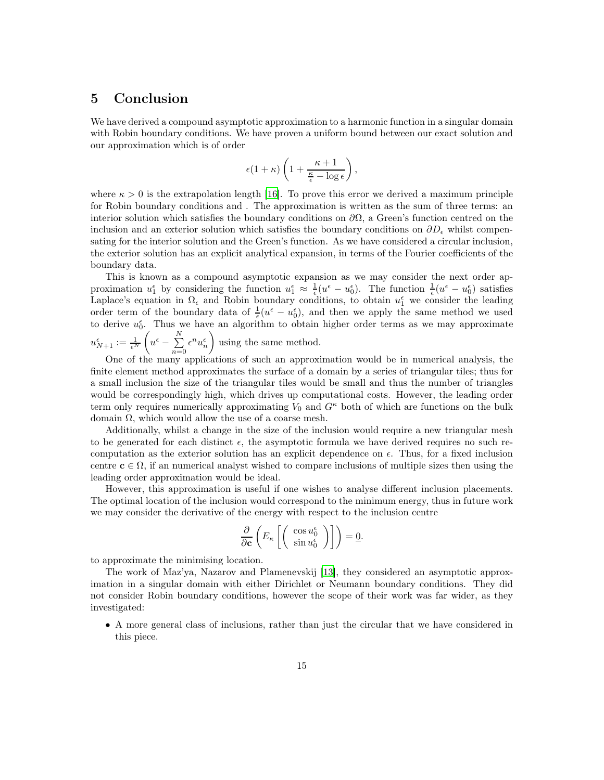# 5 Conclusion

We have derived a compound asymptotic approximation to a harmonic function in a singular domain with Robin boundary conditions. We have proven a uniform bound between our exact solution and our approximation which is of order

$$
\epsilon(1+\kappa)\left(1+\frac{\kappa+1}{\frac{\kappa}{\epsilon}-\log\epsilon}\right),
$$

where  $\kappa > 0$  is the extrapolation length [\[16](#page-16-7)]. To prove this error we derived a maximum principle for Robin boundary conditions and . The approximation is written as the sum of three terms: an interior solution which satisfies the boundary conditions on  $\partial\Omega$ , a Green's function centred on the inclusion and an exterior solution which satisfies the boundary conditions on  $\partial D_\epsilon$  whilst compensating for the interior solution and the Green's function. As we have considered a circular inclusion, the exterior solution has an explicit analytical expansion, in terms of the Fourier coefficients of the boundary data.

This is known as a compound asymptotic expansion as we may consider the next order approximation  $u_1^{\epsilon}$  by considering the function  $u_1^{\epsilon} \approx \frac{1}{\epsilon} (u^{\epsilon} - u_0^{\epsilon})$ . The function  $\frac{1}{\epsilon} (u^{\epsilon} - u_0^{\epsilon})$  satisfies Laplace's equation in  $\Omega_{\epsilon}$  and Robin boundary conditions, to obtain  $u_1^{\epsilon}$  we consider the leading order term of the boundary data of  $\frac{1}{\epsilon}(u^{\epsilon} - u_0^{\epsilon})$ , and then we apply the same method we used to derive  $u_0^{\epsilon}$ . Thus we have an algorithm to obtain higher order terms as we may approximate

$$
u_{N+1}^{\epsilon} := \frac{1}{\epsilon^N} \left( u^{\epsilon} - \sum_{n=0}^{N} \epsilon^n u_n^{\epsilon} \right)
$$
 using the same method.

One of the many applications of such an approximation would be in numerical analysis, the finite element method approximates the surface of a domain by a series of triangular tiles; thus for a small inclusion the size of the triangular tiles would be small and thus the number of triangles would be correspondingly high, which drives up computational costs. However, the leading order term only requires numerically approximating  $V_0$  and  $G<sup>\kappa</sup>$  both of which are functions on the bulk domain  $\Omega$ , which would allow the use of a coarse mesh.

Additionally, whilst a change in the size of the inclusion would require a new triangular mesh to be generated for each distinct  $\epsilon$ , the asymptotic formula we have derived requires no such recomputation as the exterior solution has an explicit dependence on  $\epsilon$ . Thus, for a fixed inclusion centre  $c \in \Omega$ , if an numerical analyst wished to compare inclusions of multiple sizes then using the leading order approximation would be ideal.

However, this approximation is useful if one wishes to analyse different inclusion placements. The optimal location of the inclusion would correspond to the minimum energy, thus in future work we may consider the derivative of the energy with respect to the inclusion centre

$$
\frac{\partial}{\partial \mathbf{c}} \left( E_{\kappa} \left[ \left( \begin{array}{c} \cos u_0^{\epsilon} \\ \sin u_0^{\epsilon} \end{array} \right) \right] \right) = \underline{0}.
$$

to approximate the minimising location.

The work of Maz'ya, Nazarov and Plamenevskij [\[13\]](#page-16-3), they considered an asymptotic approximation in a singular domain with either Dirichlet or Neumann boundary conditions. They did not consider Robin boundary conditions, however the scope of their work was far wider, as they investigated:

• A more general class of inclusions, rather than just the circular that we have considered in this piece.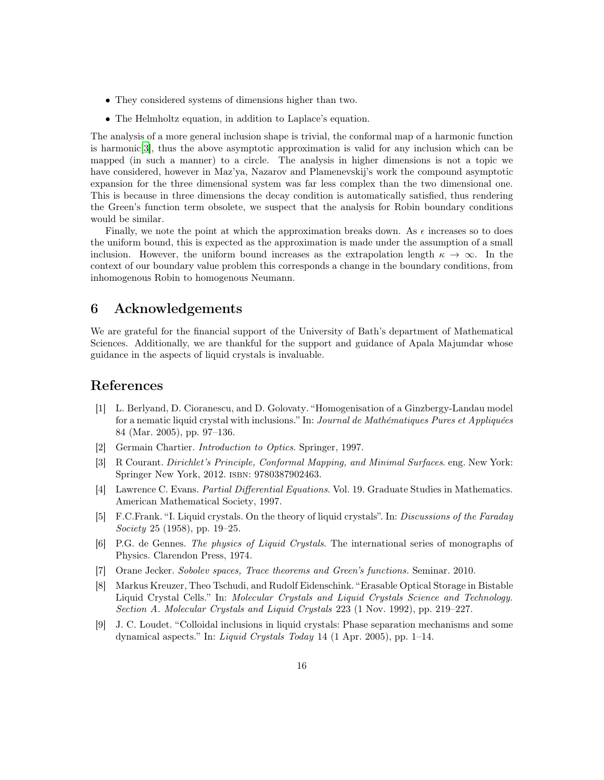- They considered systems of dimensions higher than two.
- The Helmholtz equation, in addition to Laplace's equation.

The analysis of a more general inclusion shape is trivial, the conformal map of a harmonic function is harmonic[\[3\]](#page-15-8), thus the above asymptotic approximation is valid for any inclusion which can be mapped (in such a manner) to a circle. The analysis in higher dimensions is not a topic we have considered, however in Maz'ya, Nazarov and Plamenevskij's work the compound asymptotic expansion for the three dimensional system was far less complex than the two dimensional one. This is because in three dimensions the decay condition is automatically satisfied, thus rendering the Green's function term obsolete, we suspect that the analysis for Robin boundary conditions would be similar.

Finally, we note the point at which the approximation breaks down. As  $\epsilon$  increases so to does the uniform bound, this is expected as the approximation is made under the assumption of a small inclusion. However, the uniform bound increases as the extrapolation length  $\kappa \to \infty$ . In the context of our boundary value problem this corresponds a change in the boundary conditions, from inhomogenous Robin to homogenous Neumann.

# 6 Acknowledgements

We are grateful for the financial support of the University of Bath's department of Mathematical Sciences. Additionally, we are thankful for the support and guidance of Apala Majumdar whose guidance in the aspects of liquid crystals is invaluable.

# <span id="page-15-3"></span>References

- [1] L. Berlyand, D. Cioranescu, and D. Golovaty. "Homogenisation of a Ginzbergy-Landau model for a nematic liquid crystal with inclusions." In: Journal de Mathématiques Pures et Appliquées 84 (Mar. 2005), pp. 97–136.
- <span id="page-15-8"></span><span id="page-15-0"></span>[2] Germain Chartier. Introduction to Optics. Springer, 1997.
- [3] R Courant. Dirichlet's Principle, Conformal Mapping, and Minimal Surfaces. eng. New York: Springer New York, 2012. isbn: 9780387902463.
- <span id="page-15-6"></span>[4] Lawrence C. Evans. Partial Differential Equations. Vol. 19. Graduate Studies in Mathematics. American Mathematical Society, 1997.
- <span id="page-15-5"></span>[5] F.C.Frank. "I. Liquid crystals. On the theory of liquid crystals". In: Discussions of the Faraday Society 25 (1958), pp. 19–25.
- <span id="page-15-1"></span>[6] P.G. de Gennes. The physics of Liquid Crystals. The international series of monographs of Physics. Clarendon Press, 1974.
- <span id="page-15-7"></span><span id="page-15-4"></span>[7] Orane Jecker. Sobolev spaces, Trace theorems and Green's functions. Seminar. 2010.
- [8] Markus Kreuzer, Theo Tschudi, and Rudolf Eidenschink. "Erasable Optical Storage in Bistable Liquid Crystal Cells." In: Molecular Crystals and Liquid Crystals Science and Technology. Section A. Molecular Crystals and Liquid Crystals 223 (1 Nov. 1992), pp. 219–227.
- <span id="page-15-2"></span>[9] J. C. Loudet. "Colloidal inclusions in liquid crystals: Phase separation mechanisms and some dynamical aspects." In: *Liquid Crystals Today* 14 (1 Apr. 2005), pp. 1–14.